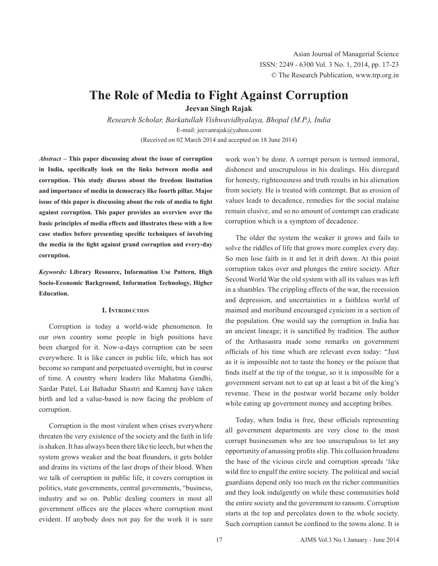# **The Role of Media to Fight Against Corruption**

**Jeevan Singh Rajak**

*Research Scholar, Barkatullah Vishwavidhyalaya, Bhopal (M.P.), India* E-mail: jeevanrajak@yahoo.com (Received on 02 March 2014 and accepted on 18 June 2014)

*Abstract* **– This paper discussing about the issue of corruption in India, specifically look on the links between media and corruption. This study discuss about the freedom limitation and importance of media in democracy like fourth pillar. Major issue of this paper is discussing about the role of media to fight against corruption. This paper provides an overview over the basic principles of media effects and illustrates these with a few case studies before presenting specific techniques of involving the media in the fight against grand corruption and every-day corruption.**

*Keywords:* **Library Resource, Information Use Pattern, High Socio-Economic Background, Information Technology, Higher Education.**

### **I. Introduction**

Corruption is today a world-wide phenomenon. In our own country some people in high positions have been charged for it. Now-a-days corruption can be seen everywhere. It is like cancer in public life, which has not become so rampant and perpetuated overnight, but in course of time. A country where leaders like Mahatma Gandhi, Sardar Patel, Lai Bahadur Shastri and Kamraj have taken birth and led a value-based is now facing the problem of corruption.

Corruption is the most virulent when crises everywhere threaten the very existence of the society and the faith in life is shaken. It has always been there like tie leech, but when the system grows weaker and the boat flounders, it gets bolder and drains its victims of the last drops of their blood. When we talk of corruption in public life, it covers corruption in politics, state governments, central governments, "business, industry and so on. Public dealing counters in most all government offices are the places where corruption most evident. If anybody does not pay for the work it is sure

work won't be done. A corrupt person is termed immoral, dishonest and unscrupulous in his dealings. His disregard for honesty, righteousness and truth results in his alienation from society. He is treated with contempt. But as erosion of values leads to decadence, remedies for the social malaise remain elusive, and so no amount of contempt can eradicate corruption which is a symptom of decadence.

The older the system the weaker it grows and fails to solve the riddles of life that grows more complex every day. So men lose faith in it and let it drift down. At this point corruption takes over and plunges the entire society. After Second World War the old system with all its values was left in a shambles. The crippling effects of the war, the recession and depression, and uncertainties in a faithless world of maimed and moribund encouraged cynicism in a section of the population. One would say the corruption in India has an ancient lineage; it is sanctified by tradition. The author of the Arthasastra made some remarks on government officials of his time which are relevant even today: "Just as it is impossible not to taste the honey or the poison that finds itself at the tip of the tongue, so it is impossible for a government servant not to eat up at least a bit of the king's revenue. These in the postwar world became only bolder while eating up government money and accepting bribes.

Today, when India is free, these officials representing all government departments are very close to the most corrupt businessmen who are too unscrupulous to let any opportunity of amassing profits slip. This collusion broadens the base of the vicious circle and corruption spreads 'like wild fire to engulf the entire society. The political and social guardians depend only too much on the richer communities and they look indulgently on while these communities hold the entire society and the government to ransom. Corruption starts at the top and percolates down to the whole society. Such corruption cannot be confined to the towns alone. It is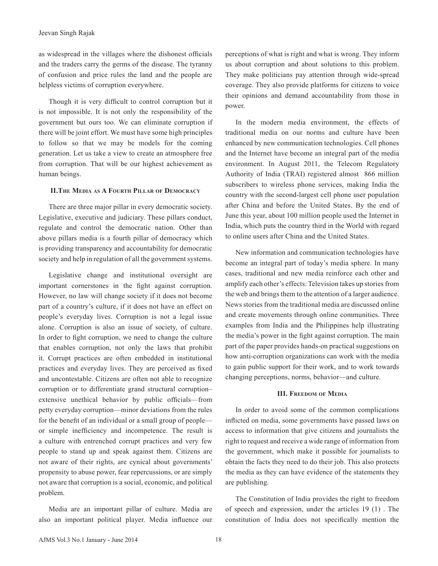as widespread in the villages where the dishonest officials and the traders carry the germs of the disease. The tyranny of confusion and price rules the land and the people are helpless victims of corruption everywhere.

Though it is very difficult to control corruption but it is not impossible. It is not only the responsibility of the government but ours too. We can eliminate corruption if there will be joint effort. We must have some high principles to follow so that we may be models for the coming generation. Let us take a view to create an atmosphere free from corruption. That will be our highest achievement as human beings.

## **II.The Media as A Fourth Pillar of Democracy**

There are three major pillar in every democratic society. Legislative, executive and judiciary. These pillars conduct, regulate and control the democratic nation. Other than above pillars media is a fourth pillar of democracy which is providing transparency and accountability for democratic society and help in regulation of all the government systems.

Legislative change and institutional oversight are important cornerstones in the fight against corruption. However, no law will change society if it does not become part of a country's culture, if it does not have an effect on people's everyday lives. Corruption is not a legal issue alone. Corruption is also an issue of society, of culture. In order to fight corruption, we need to change the culture that enables corruption, not only the laws that prohibit it. Corrupt practices are often embedded in institutional practices and everyday lives. They are perceived as fixed and uncontestable. Citizens are often not able to recognize corruption or to differentiate grand structural corruption– extensive unethical behavior by public officials—from petty everyday corruption—minor deviations from the rules for the benefit of an individual or a small group of people or simple inefficiency and incompetence. The result is a culture with entrenched corrupt practices and very few people to stand up and speak against them. Citizens are not aware of their rights, are cynical about governments' propensity to abuse power, fear repercussions, or are simply not aware that corruption is a social, economic, and political problem.

Media are an important pillar of culture. Media are also an important political player. Media influence our perceptions of what is right and what is wrong. They inform us about corruption and about solutions to this problem. They make politicians pay attention through wide-spread coverage. They also provide platforms for citizens to voice their opinions and demand accountability from those in power.

In the modern media environment, the effects of traditional media on our norms and culture have been enhanced by new communication technologies. Cell phones and the Internet have become an integral part of the media environment. In August 2011, the Telecom Regulatory Authority of India (TRAI) registered almost 866 million subscribers to wireless phone services, making India the country with the second-largest cell phone user population after China and before the United States. By the end of June this year, about 100 million people used the Internet in India, which puts the country third in the World with regard to online users after China and the United States.

New information and communication technologies have become an integral part of today's media sphere. In many cases, traditional and new media reinforce each other and amplify each other's effects: Television takes up stories from the web and brings them to the attention of a larger audience. News stories from the traditional media are discussed online and create movements through online communities. Three examples from India and the Philippines help illustrating the media's power in the fight against corruption. The main part of the paper provides hands-on practical suggestions on how anti-corruption organizations can work with the media to gain public support for their work, and to work towards changing perceptions, norms, behavior—and culture.

#### **III. Freedom of Media**

In order to avoid some of the common complications inflicted on media, some governments have passed laws on access to information that give citizens and journalists the right to request and receive a wide range of information from the government, which make it possible for journalists to obtain the facts they need to do their job. This also protects the media as they can have evidence of the statements they are publishing.

The Constitution of India provides the right to freedom of speech and expression, under the articles 19 (1) . The constitution of India does not specifically mention the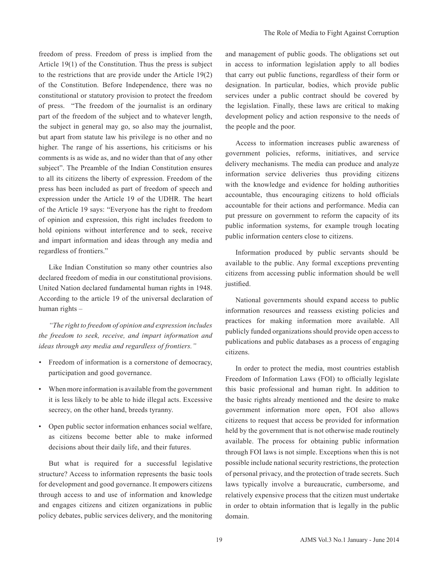freedom of press. Freedom of press is implied from the Article 19(1) of the Constitution. Thus the press is subject to the restrictions that are provide under the Article 19(2) of the Constitution. Before Independence, there was no constitutional or statutory provision to protect the freedom of press. "The freedom of the journalist is an ordinary part of the freedom of the subject and to whatever length, the subject in general may go, so also may the journalist, but apart from statute law his privilege is no other and no higher. The range of his assertions, his criticisms or his comments is as wide as, and no wider than that of any other subject". The Preamble of the Indian Constitution ensures to all its citizens the liberty of expression. Freedom of the press has been included as part of freedom of speech and expression under the Article 19 of the UDHR. The heart of the Article 19 says: "Everyone has the right to freedom of opinion and expression, this right includes freedom to hold opinions without interference and to seek, receive and impart information and ideas through any media and regardless of frontiers."

Like Indian Constitution so many other countries also declared freedom of media in our constitutional provisions. United Nation declared fundamental human rights in 1948. According to the article 19 of the universal declaration of human rights –

*"The right to freedom of opinion and expression includes the freedom to seek, receive, and impart information and ideas through any media and regardless of frontiers."*

- *•*  Freedom of information is a cornerstone of democracy, participation and good governance.
- When more information is available from the government it is less likely to be able to hide illegal acts. Excessive secrecy, on the other hand, breeds tyranny.
- Open public sector information enhances social welfare, as citizens become better able to make informed decisions about their daily life, and their futures.

But what is required for a successful legislative structure? Access to information represents the basic tools for development and good governance. It empowers citizens through access to and use of information and knowledge and engages citizens and citizen organizations in public policy debates, public services delivery, and the monitoring

and management of public goods. The obligations set out in access to information legislation apply to all bodies that carry out public functions, regardless of their form or designation. In particular, bodies, which provide public services under a public contract should be covered by the legislation. Finally, these laws are critical to making development policy and action responsive to the needs of the people and the poor.

Access to information increases public awareness of government policies, reforms, initiatives, and service delivery mechanisms. The media can produce and analyze information service deliveries thus providing citizens with the knowledge and evidence for holding authorities accountable, thus encouraging citizens to hold officials accountable for their actions and performance. Media can put pressure on government to reform the capacity of its public information systems, for example trough locating public information centers close to citizens.

Information produced by public servants should be available to the public. Any formal exceptions preventing citizens from accessing public information should be well justified.

National governments should expand access to public information resources and reassess existing policies and practices for making information more available. All publicly funded organizations should provide open access to publications and public databases as a process of engaging citizens.

In order to protect the media, most countries establish Freedom of Information Laws (FOI) to officially legislate this basic professional and human right. In addition to the basic rights already mentioned and the desire to make government information more open, FOI also allows citizens to request that access be provided for information held by the government that is not otherwise made routinely available. The process for obtaining public information through FOI laws is not simple. Exceptions when this is not possible include national security restrictions, the protection of personal privacy, and the protection of trade secrets. Such laws typically involve a bureaucratic, cumbersome, and relatively expensive process that the citizen must undertake in order to obtain information that is legally in the public domain.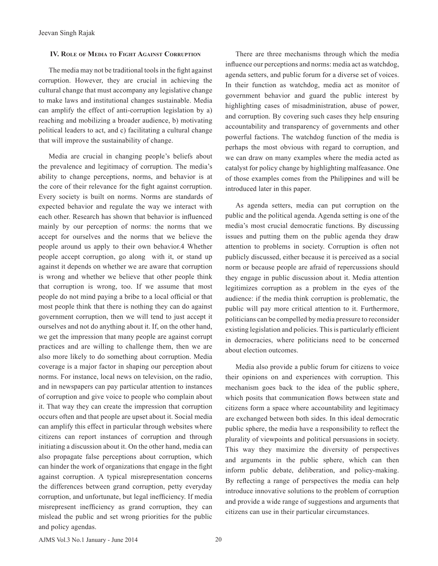#### **IV. Role of Media to Fight Against Corruption**

The media may not be traditional tools in the fight against corruption. However, they are crucial in achieving the cultural change that must accompany any legislative change to make laws and institutional changes sustainable. Media can amplify the effect of anti-corruption legislation by a) reaching and mobilizing a broader audience, b) motivating political leaders to act, and c) facilitating a cultural change that will improve the sustainability of change.

Media are crucial in changing people's beliefs about the prevalence and legitimacy of corruption. The media's ability to change perceptions, norms, and behavior is at the core of their relevance for the fight against corruption. Every society is built on norms. Norms are standards of expected behavior and regulate the way we interact with each other. Research has shown that behavior is influenced mainly by our perception of norms: the norms that we accept for ourselves and the norms that we believe the people around us apply to their own behavior.4 Whether people accept corruption, go along with it, or stand up against it depends on whether we are aware that corruption is wrong and whether we believe that other people think that corruption is wrong, too. If we assume that most people do not mind paying a bribe to a local official or that most people think that there is nothing they can do against government corruption, then we will tend to just accept it ourselves and not do anything about it. If, on the other hand, we get the impression that many people are against corrupt practices and are willing to challenge them, then we are also more likely to do something about corruption. Media coverage is a major factor in shaping our perception about norms. For instance, local news on television, on the radio, and in newspapers can pay particular attention to instances of corruption and give voice to people who complain about it. That way they can create the impression that corruption occurs often and that people are upset about it. Social media can amplify this effect in particular through websites where citizens can report instances of corruption and through initiating a discussion about it. On the other hand, media can also propagate false perceptions about corruption, which can hinder the work of organizations that engage in the fight against corruption. A typical misrepresentation concerns the differences between grand corruption, petty everyday corruption, and unfortunate, but legal inefficiency. If media misrepresent inefficiency as grand corruption, they can mislead the public and set wrong priorities for the public and policy agendas.

There are three mechanisms through which the media influence our perceptions and norms: media act as watchdog, agenda setters, and public forum for a diverse set of voices. In their function as watchdog, media act as monitor of government behavior and guard the public interest by highlighting cases of misadministration, abuse of power, and corruption. By covering such cases they help ensuring accountability and transparency of governments and other powerful factions. The watchdog function of the media is perhaps the most obvious with regard to corruption, and we can draw on many examples where the media acted as catalyst for policy change by highlighting malfeasance. One of those examples comes from the Philippines and will be introduced later in this paper.

As agenda setters, media can put corruption on the public and the political agenda. Agenda setting is one of the media's most crucial democratic functions. By discussing issues and putting them on the public agenda they draw attention to problems in society. Corruption is often not publicly discussed, either because it is perceived as a social norm or because people are afraid of repercussions should they engage in public discussion about it. Media attention legitimizes corruption as a problem in the eyes of the audience: if the media think corruption is problematic, the public will pay more critical attention to it. Furthermore, politicians can be compelled by media pressure to reconsider existing legislation and policies. This is particularly efficient in democracies, where politicians need to be concerned about election outcomes.

Media also provide a public forum for citizens to voice their opinions on and experiences with corruption. This mechanism goes back to the idea of the public sphere, which posits that communication flows between state and citizens form a space where accountability and legitimacy are exchanged between both sides. In this ideal democratic public sphere, the media have a responsibility to reflect the plurality of viewpoints and political persuasions in society. This way they maximize the diversity of perspectives and arguments in the public sphere, which can then inform public debate, deliberation, and policy-making. By reflecting a range of perspectives the media can help introduce innovative solutions to the problem of corruption and provide a wide range of suggestions and arguments that citizens can use in their particular circumstances.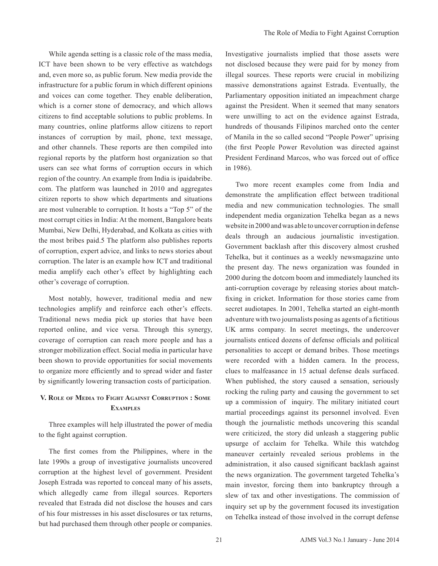While agenda setting is a classic role of the mass media, ICT have been shown to be very effective as watchdogs and, even more so, as public forum. New media provide the infrastructure for a public forum in which different opinions and voices can come together. They enable deliberation, which is a corner stone of democracy, and which allows citizens to find acceptable solutions to public problems. In many countries, online platforms allow citizens to report instances of corruption by mail, phone, text message, and other channels. These reports are then compiled into regional reports by the platform host organization so that users can see what forms of corruption occurs in which region of the country. An example from India is ipaidabribe. com. The platform was launched in 2010 and aggregates citizen reports to show which departments and situations are most vulnerable to corruption. It hosts a "Top 5" of the most corrupt cities in India: At the moment, Bangalore beats Mumbai, New Delhi, Hyderabad, and Kolkata as cities with the most bribes paid.5 The platform also publishes reports of corruption, expert advice, and links to news stories about corruption. The later is an example how ICT and traditional media amplify each other's effect by highlighting each other's coverage of corruption.

Most notably, however, traditional media and new technologies amplify and reinforce each other's effects. Traditional news media pick up stories that have been reported online, and vice versa. Through this synergy, coverage of corruption can reach more people and has a stronger mobilization effect. Social media in particular have been shown to provide opportunities for social movements to organize more efficiently and to spread wider and faster by significantly lowering transaction costs of participation.

# **V. Role of Media to Fight Against Corruption : Some Examples**

Three examples will help illustrated the power of media to the fight against corruption.

The first comes from the Philippines, where in the late 1990s a group of investigative journalists uncovered corruption at the highest level of government. President Joseph Estrada was reported to conceal many of his assets, which allegedly came from illegal sources. Reporters revealed that Estrada did not disclose the houses and cars of his four mistresses in his asset disclosures or tax returns, but had purchased them through other people or companies.

Investigative journalists implied that those assets were not disclosed because they were paid for by money from illegal sources. These reports were crucial in mobilizing massive demonstrations against Estrada. Eventually, the Parliamentary opposition initiated an impeachment charge against the President. When it seemed that many senators were unwilling to act on the evidence against Estrada, hundreds of thousands Filipinos marched onto the center of Manila in the so called second "People Power" uprising (the first People Power Revolution was directed against President Ferdinand Marcos, who was forced out of office in 1986).

Two more recent examples come from India and demonstrate the amplification effect between traditional media and new communication technologies. The small independent media organization Tehelka began as a news website in 2000 and was able to uncover corruption in defense deals through an audacious journalistic investigation. Government backlash after this discovery almost crushed Tehelka, but it continues as a weekly newsmagazine unto the present day. The news organization was founded in 2000 during the dotcom boom and immediately launched its anti-corruption coverage by releasing stories about matchfixing in cricket. Information for those stories came from secret audiotapes. In 2001, Tehelka started an eight-month adventure with two journalists posing as agents of a fictitious UK arms company. In secret meetings, the undercover journalists enticed dozens of defense officials and political personalities to accept or demand bribes. Those meetings were recorded with a hidden camera. In the process, clues to malfeasance in 15 actual defense deals surfaced. When published, the story caused a sensation, seriously rocking the ruling party and causing the government to set up a commission of inquiry. The military initiated court martial proceedings against its personnel involved. Even though the journalistic methods uncovering this scandal were criticized, the story did unleash a staggering public upsurge of acclaim for Tehelka. While this watchdog maneuver certainly revealed serious problems in the administration, it also caused significant backlash against the news organization. The government targeted Tehelka's main investor, forcing them into bankruptcy through a slew of tax and other investigations. The commission of inquiry set up by the government focused its investigation on Tehelka instead of those involved in the corrupt defense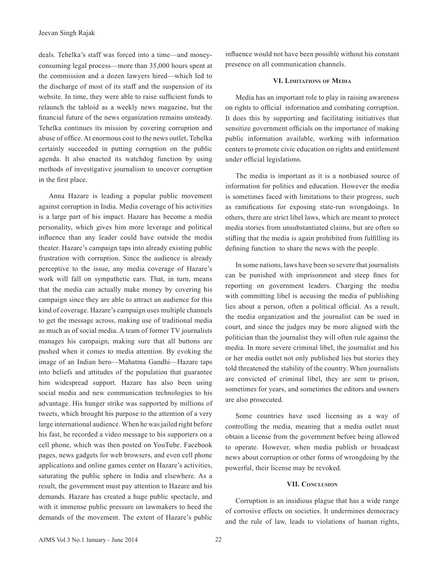deals. Tehelka's staff was forced into a time—and moneyconsuming legal process—more than 35,000 hours spent at the commission and a dozen lawyers hired—which led to the discharge of most of its staff and the suspension of its website. In time, they were able to raise sufficient funds to relaunch the tabloid as a weekly news magazine, but the financial future of the news organization remains unsteady. Tehelka continues its mission by covering corruption and abuse of office. At enormous cost to the news outlet, Tehelka certainly succeeded in putting corruption on the public agenda. It also enacted its watchdog function by using methods of investigative journalism to uncover corruption in the first place.

Anna Hazare is leading a popular public movement against corruption in India. Media coverage of his activities is a large part of his impact. Hazare has become a media personality, which gives him more leverage and political influence than any leader could have outside the media theater. Hazare's campaign taps into already existing public frustration with corruption. Since the audience is already perceptive to the issue, any media coverage of Hazare's work will fall on sympathetic ears. That, in turn, means that the media can actually make money by covering his campaign since they are able to attract an audience for this kind of coverage. Hazare's campaign uses multiple channels to get the message across, making use of traditional media as much as of social media. A team of former TV journalists manages his campaign, making sure that all buttons are pushed when it comes to media attention. By evoking the image of an Indian hero—Mahatma Gandhi—Hazare taps into beliefs and attitudes of the population that guarantee him widespread support. Hazare has also been using social media and new communication technologies to his advantage. His hunger strike was supported by millions of tweets, which brought his purpose to the attention of a very large international audience. When he was jailed right before his fast, he recorded a video message to his supporters on a cell phone, which was then posted on YouTube. Facebook pages, news gadgets for web browsers, and even cell phone applications and online games center on Hazare's activities, saturating the public sphere in India and elsewhere. As a result, the government must pay attention to Hazare and his demands. Hazare has created a huge public spectacle, and with it immense public pressure on lawmakers to heed the demands of the movement. The extent of Hazare's public

influence would not have been possible without his constant presence on all communication channels.

#### **VI. Limitations of Media**

Media has an important role to play in raising awareness on rights to official information and combating corruption. It does this by supporting and facilitating initiatives that sensitize government officials on the importance of making public information available, working with information centers to promote civic education on rights and entitlement under official legislations.

The media is important as it is a nonbiased source of information for politics and education. However the media is sometimes faced with limitations to their progress, such as ramifications for exposing state-run wrongdoings. In others, there are strict libel laws, which are meant to protect media stories from unsubstantiated claims, but are often so stifling that the media is again prohibited from fulfilling its defining function to share the news with the people.

In some nations, laws have been so severe that journalists can be punished with imprisonment and steep fines for reporting on government leaders. Charging the media with committing libel is accusing the media of publishing lies about a person, often a political official. As a result, the media organization and the journalist can be sued in court, and since the judges may be more aligned with the politician than the journalist they will often rule against the media. In more severe criminal libel, the journalist and his or her media outlet not only published lies but stories they told threatened the stability of the country. When journalists are convicted of criminal libel, they are sent to prison, sometimes for years, and sometimes the editors and owners are also prosecuted.

Some countries have used licensing as a way of controlling the media, meaning that a media outlet must obtain a license from the government before being allowed to operate. However, when media publish or broadcast news about corruption or other forms of wrongdoing by the powerful, their license may be revoked.

#### **VII. Conclusion**

Corruption is an insidious plague that has a wide range of corrosive effects on societies. It undermines democracy and the rule of law, leads to violations of human rights,